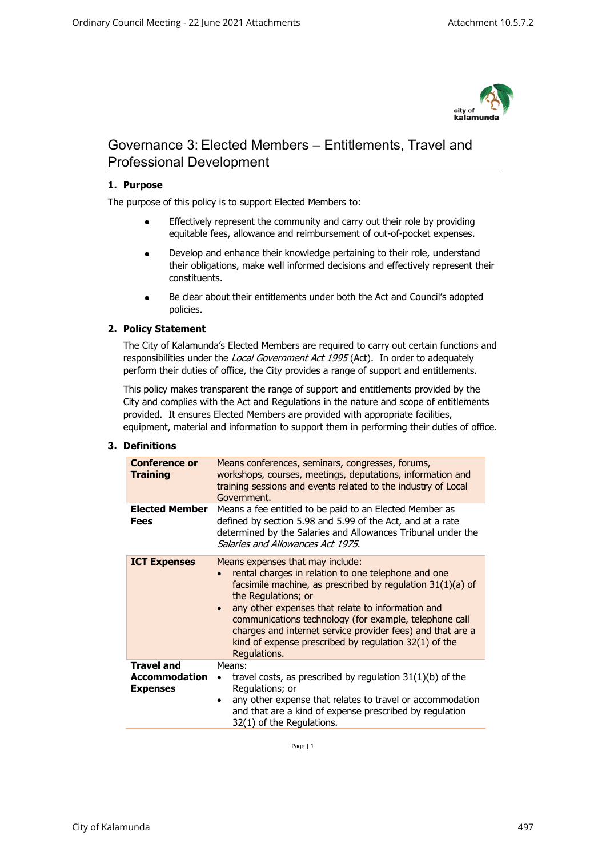

# Governance 3: Elected Members – Entitlements, Travel and Professional Development

# **1. Purpose**

The purpose of this policy is to support Elected Members to:

- Effectively represent the community and carry out their role by providing equitable fees, allowance and reimbursement of out-of-pocket expenses.
- Develop and enhance their knowledge pertaining to their role, understand their obligations, make well informed decisions and effectively represent their constituents.
- Be clear about their entitlements under both the Act and Council's adopted policies.

## **2. Policy Statement**

The City of Kalamunda's Elected Members are required to carry out certain functions and responsibilities under the Local Government Act 1995 (Act). In order to adequately perform their duties of office, the City provides a range of support and entitlements.

This policy makes transparent the range of support and entitlements provided by the City and complies with the Act and Regulations in the nature and scope of entitlements provided. It ensures Elected Members are provided with appropriate facilities, equipment, material and information to support them in performing their duties of office.

#### **3. Definitions**

| <b>Conference or</b><br><b>Training</b>                      | Means conferences, seminars, congresses, forums,<br>workshops, courses, meetings, deputations, information and<br>training sessions and events related to the industry of Local<br>Government.                                                                                                                                                                                                                                                    |
|--------------------------------------------------------------|---------------------------------------------------------------------------------------------------------------------------------------------------------------------------------------------------------------------------------------------------------------------------------------------------------------------------------------------------------------------------------------------------------------------------------------------------|
| <b>Elected Member</b><br>Fees                                | Means a fee entitled to be paid to an Elected Member as<br>defined by section 5.98 and 5.99 of the Act, and at a rate<br>determined by the Salaries and Allowances Tribunal under the<br>Salaries and Allowances Act 1975.                                                                                                                                                                                                                        |
| <b>ICT Expenses</b>                                          | Means expenses that may include:<br>rental charges in relation to one telephone and one<br>facsimile machine, as prescribed by regulation 31(1)(a) of<br>the Regulations; or<br>any other expenses that relate to information and<br>$\bullet$<br>communications technology (for example, telephone call<br>charges and internet service provider fees) and that are a<br>kind of expense prescribed by regulation $32(1)$ of the<br>Regulations. |
| <b>Travel and</b><br><b>Accommodation</b><br><b>Expenses</b> | Means:<br>travel costs, as prescribed by regulation $31(1)(b)$ of the<br>Regulations; or<br>any other expense that relates to travel or accommodation<br>$\bullet$<br>and that are a kind of expense prescribed by regulation<br>32(1) of the Regulations.                                                                                                                                                                                        |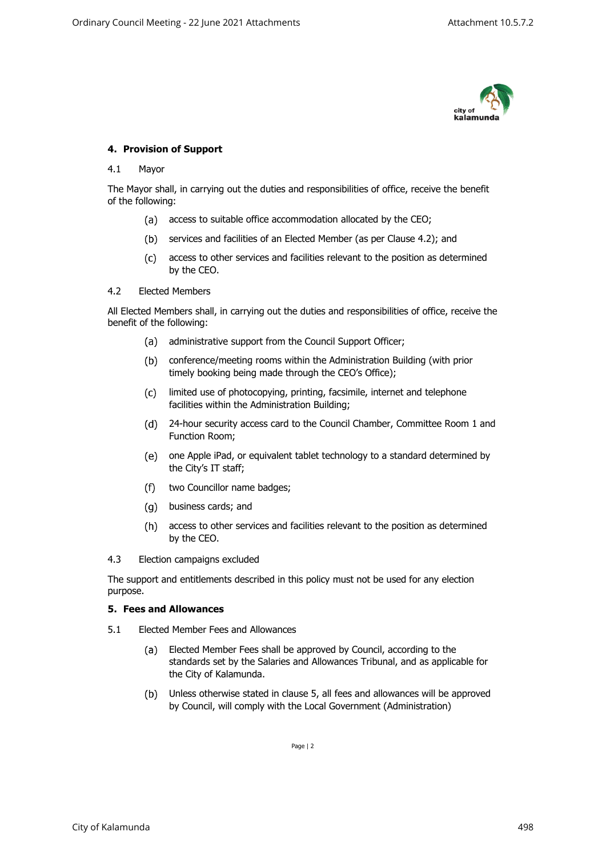

## **4. Provision of Support**

#### 4.1 Mayor

The Mayor shall, in carrying out the duties and responsibilities of office, receive the benefit of the following:

- (a) access to suitable office accommodation allocated by the CEO;
- (b) services and facilities of an Elected Member (as per Clause 4.2); and
- $(c)$ access to other services and facilities relevant to the position as determined by the CEO.

#### 4.2 Elected Members

All Elected Members shall, in carrying out the duties and responsibilities of office, receive the benefit of the following:

- (a) administrative support from the Council Support Officer;
- conference/meeting rooms within the Administration Building (with prior timely booking being made through the CEO's Office);
- $(c)$ limited use of photocopying, printing, facsimile, internet and telephone facilities within the Administration Building;
- 24-hour security access card to the Council Chamber, Committee Room 1 and Function Room;
- one Apple iPad, or equivalent tablet technology to a standard determined by the City's IT staff;
- $(f)$ two Councillor name badges;
- business cards; and
- access to other services and facilities relevant to the position as determined by the CEO.
- 4.3 Election campaigns excluded

The support and entitlements described in this policy must not be used for any election purpose.

#### **5. Fees and Allowances**

- 5.1 Elected Member Fees and Allowances
	- $(a)$ Elected Member Fees shall be approved by Council, according to the standards set by the Salaries and Allowances Tribunal, and as applicable for the City of Kalamunda.
	- $(b)$ Unless otherwise stated in clause 5, all fees and allowances will be approved by Council, will comply with the Local Government (Administration)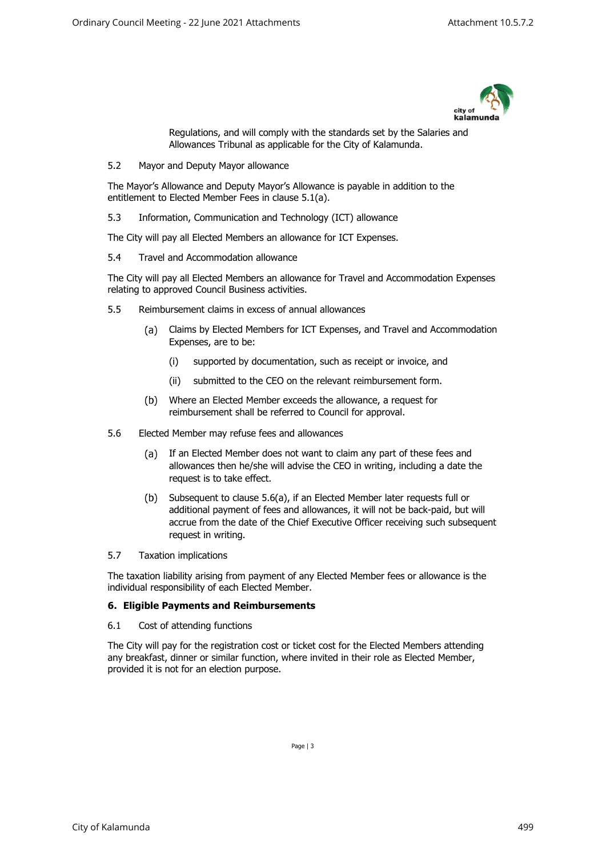

Regulations, and will comply with the standards set by the Salaries and Allowances Tribunal as applicable for the City of Kalamunda.

5.2 Mayor and Deputy Mayor allowance

The Mayor's Allowance and Deputy Mayor's Allowance is payable in addition to the entitlement to Elected Member Fees in clause 5.1(a).

5.3 Information, Communication and Technology (ICT) allowance

The City will pay all Elected Members an allowance for ICT Expenses.

5.4 Travel and Accommodation allowance

The City will pay all Elected Members an allowance for Travel and Accommodation Expenses relating to approved Council Business activities.

- 5.5 Reimbursement claims in excess of annual allowances
	- Claims by Elected Members for ICT Expenses, and Travel and Accommodation  $(a)$ Expenses, are to be:
		- (i) supported by documentation, such as receipt or invoice, and
		- (ii) submitted to the CEO on the relevant reimbursement form.
	- $(b)$ Where an Elected Member exceeds the allowance, a request for reimbursement shall be referred to Council for approval.
- 5.6 Elected Member may refuse fees and allowances
	- $(a)$ If an Elected Member does not want to claim any part of these fees and allowances then he/she will advise the CEO in writing, including a date the request is to take effect.
	- $(b)$ Subsequent to clause 5.6(a), if an Elected Member later requests full or additional payment of fees and allowances, it will not be back-paid, but will accrue from the date of the Chief Executive Officer receiving such subsequent request in writing.
- 5.7 Taxation implications

The taxation liability arising from payment of any Elected Member fees or allowance is the individual responsibility of each Elected Member.

## **6. Eligible Payments and Reimbursements**

6.1 Cost of attending functions

The City will pay for the registration cost or ticket cost for the Elected Members attending any breakfast, dinner or similar function, where invited in their role as Elected Member, provided it is not for an election purpose.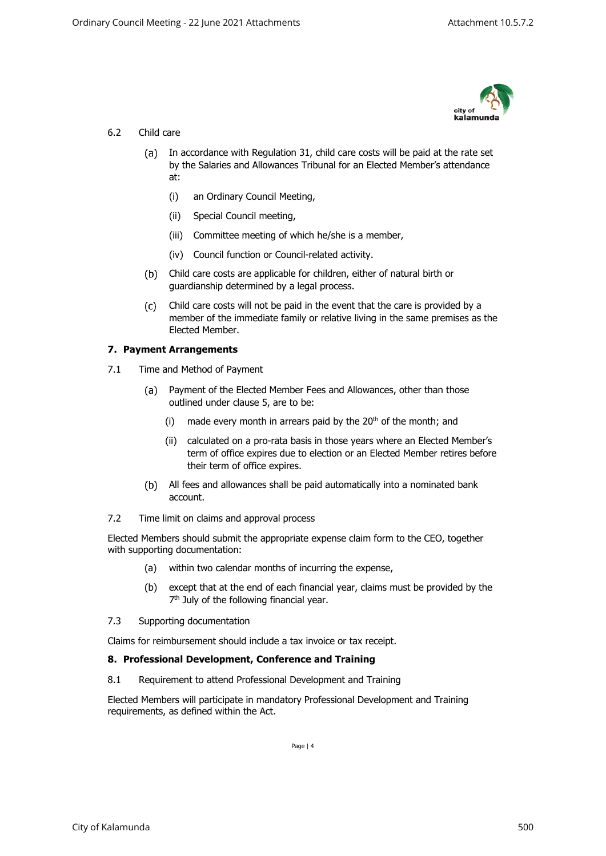

# 6.2 Child care

- (a) In accordance with Regulation 31, child care costs will be paid at the rate set by the Salaries and Allowances Tribunal for an Elected Member's attendance at:
	- (i) an Ordinary Council Meeting,
	- (ii) Special Council meeting,
	- (iii) Committee meeting of which he/she is a member,
	- (iv) Council function or Council-related activity.
- Child care costs are applicable for children, either of natural birth or guardianship determined by a legal process.
- Child care costs will not be paid in the event that the care is provided by a  $(c)$ member of the immediate family or relative living in the same premises as the Elected Member.

## **7. Payment Arrangements**

- 7.1 Time and Method of Payment
	- Payment of the Elected Member Fees and Allowances, other than those (a) outlined under clause 5, are to be:
		- (i) made every month in arrears paid by the  $20<sup>th</sup>$  of the month; and
		- (ii) calculated on a pro-rata basis in those years where an Elected Member's term of office expires due to election or an Elected Member retires before their term of office expires.
	- All fees and allowances shall be paid automatically into a nominated bank account.
- 7.2 Time limit on claims and approval process

Elected Members should submit the appropriate expense claim form to the CEO, together with supporting documentation:

- (a) within two calendar months of incurring the expense,
- (b) except that at the end of each financial year, claims must be provided by the 7<sup>th</sup> July of the following financial year.
- 7.3 Supporting documentation

Claims for reimbursement should include a tax invoice or tax receipt.

#### **8. Professional Development, Conference and Training**

8.1 Requirement to attend Professional Development and Training

<span id="page-3-0"></span>Elected Members will participate in mandatory Professional Development and Training requirements, as defined within the Act.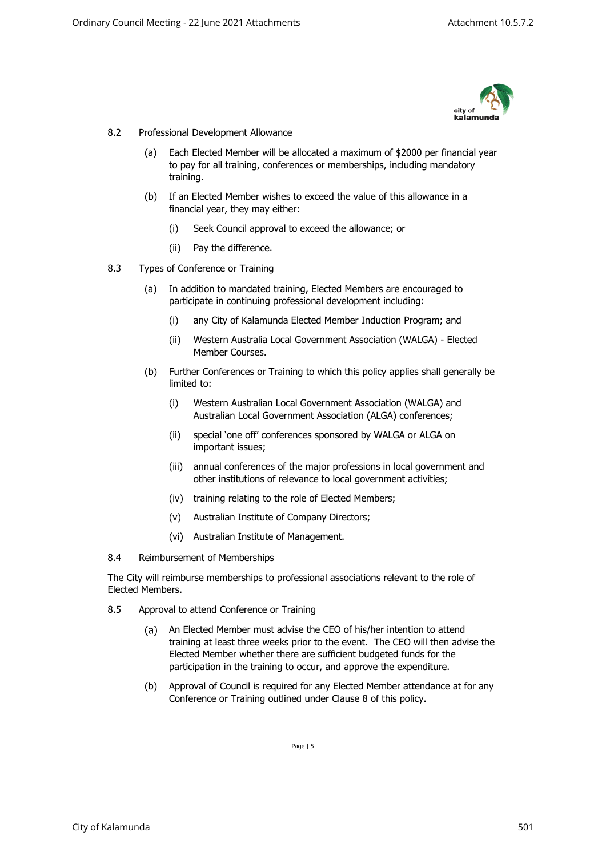

## 8.2 Professional Development Allowance

- (a) Each Elected Member will be allocated a maximum of \$2000 per financial year to pay for all training, conferences or memberships, including mandatory training.
- (b) If an Elected Member wishes to exceed the value of this allowance in a financial year, they may either:
	- (i) Seek Council approval to exceed the allowance; or
	- (ii) Pay the difference.
- 8.3 Types of Conference or Training
	- (a) In addition to mandated training, Elected Members are encouraged to participate in continuing professional development including:
		- (i) any City of Kalamunda Elected Member Induction Program; and
		- (ii) Western Australia Local Government Association (WALGA) Elected Member Courses.
	- (b) Further Conferences or Training to which this policy applies shall generally be limited to:
		- (i) Western Australian Local Government Association (WALGA) and Australian Local Government Association (ALGA) conferences;
		- (ii) special 'one off' conferences sponsored by WALGA or ALGA on important issues;
		- (iii) annual conferences of the major professions in local government and other institutions of relevance to local government activities;
		- (iv) training relating to the role of Elected Members;
		- (v) Australian Institute of Company Directors;
		- (vi) Australian Institute of Management.
- 8.4 Reimbursement of Memberships

The City will reimburse memberships to professional associations relevant to the role of Elected Members.

- 8.5 Approval to attend Conference or Training
	- $(a)$ An Elected Member must advise the CEO of his/her intention to attend training at least three weeks prior to the event. The CEO will then advise the Elected Member whether there are sufficient budgeted funds for the participation in the training to occur, and approve the expenditure.
	- (b) Approval of Council is required for any Elected Member attendance at for any Conference or Training outlined under Clause [8](#page-3-0) of this policy.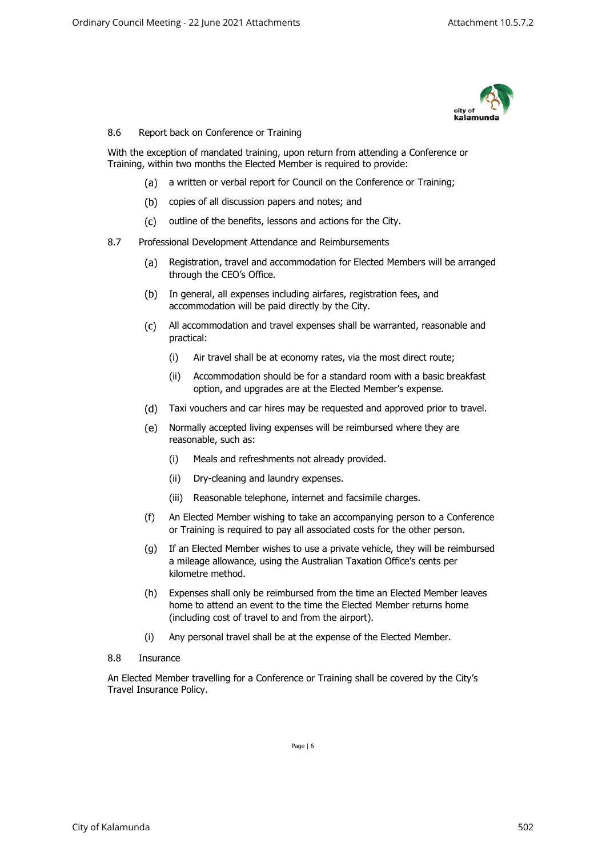

## 8.6 Report back on Conference or Training

With the exception of mandated training, upon return from attending a Conference or Training, within two months the Elected Member is required to provide:

- (a) a written or verbal report for Council on the Conference or Training;
- (b) copies of all discussion papers and notes; and
- (c) outline of the benefits, lessons and actions for the City.
- 8.7 Professional Development Attendance and Reimbursements
	- Registration, travel and accommodation for Elected Members will be arranged  $(a)$ through the CEO's Office.
	- (b) In general, all expenses including airfares, registration fees, and accommodation will be paid directly by the City.
	- All accommodation and travel expenses shall be warranted, reasonable and practical:
		- (i) Air travel shall be at economy rates, via the most direct route;
		- (ii) Accommodation should be for a standard room with a basic breakfast option, and upgrades are at the Elected Member's expense.
	- Taxi vouchers and car hires may be requested and approved prior to travel.
	- $(e)$ Normally accepted living expenses will be reimbursed where they are reasonable, such as:
		- (i) Meals and refreshments not already provided.
		- (ii) Dry-cleaning and laundry expenses.
		- (iii) Reasonable telephone, internet and facsimile charges.
	- (f) An Elected Member wishing to take an accompanying person to a Conference or Training is required to pay all associated costs for the other person.
	- (g) If an Elected Member wishes to use a private vehicle, they will be reimbursed a mileage allowance, using the Australian Taxation Office's cents per kilometre method.
	- (h) Expenses shall only be reimbursed from the time an Elected Member leaves home to attend an event to the time the Elected Member returns home (including cost of travel to and from the airport).
	- (i) Any personal travel shall be at the expense of the Elected Member.
- 8.8 Insurance

An Elected Member travelling for a Conference or Training shall be covered by the City's Travel Insurance Policy.